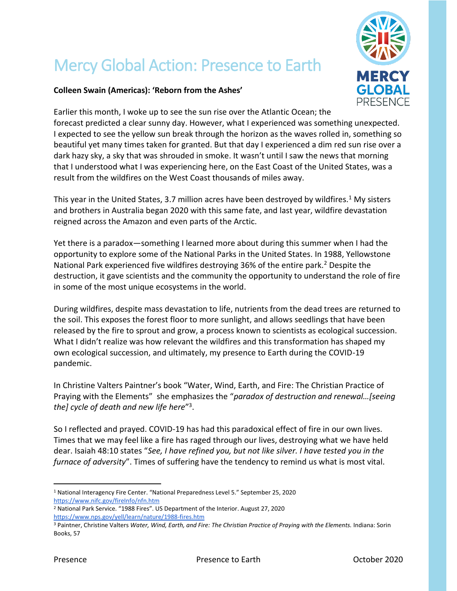## Mercy Global Action: Presence to Earth



## **Colleen Swain (Americas): 'Reborn from the Ashes'**

Earlier this month, I woke up to see the sun rise over the Atlantic Ocean; the forecast predicted a clear sunny day. However, what I experienced was something unexpected. I expected to see the yellow sun break through the horizon as the waves rolled in, something so beautiful yet many times taken for granted. But that day I experienced a dim red sun rise over a dark hazy sky, a sky that was shrouded in smoke. It wasn't until I saw the news that morning that I understood what I was experiencing here, on the East Coast of the United States, was a result from the wildfires on the West Coast thousands of miles away.

This year in the United States, 3.7 million acres have been destroyed by wildfires.<sup>1</sup> My sisters and brothers in Australia began 2020 with this same fate, and last year, wildfire devastation reigned across the Amazon and even parts of the Arctic.

Yet there is a paradox—something I learned more about during this summer when I had the opportunity to explore some of the National Parks in the United States. In 1988, Yellowstone National Park experienced five wildfires destroying 36% of the entire park.<sup>2</sup> Despite the destruction, it gave scientists and the community the opportunity to understand the role of fire in some of the most unique ecosystems in the world.

During wildfires, despite mass devastation to life, nutrients from the dead trees are returned to the soil. This exposes the forest floor to more sunlight, and allows seedlings that have been released by the fire to sprout and grow, a process known to scientists as ecological succession. What I didn't realize was how relevant the wildfires and this transformation has shaped my own ecological succession, and ultimately, my presence to Earth during the COVID-19 pandemic.

In Christine Valters Paintner's book "Water, Wind, Earth, and Fire: The Christian Practice of Praying with the Elements" she emphasizes the "*paradox of destruction and renewal…[seeing the] cycle of death and new life here*" 3 .

So I reflected and prayed. COVID-19 has had this paradoxical effect of fire in our own lives. Times that we may feel like a fire has raged through our lives, destroying what we have held dear. Isaiah 48:10 states "*See, I have refined you, but not like silver. I have tested you in the furnace of adversity*". Times of suffering have the tendency to remind us what is most vital.

<sup>2</sup> National Park Service. "1988 Fires". US Department of the Interior. August 27, 2020 <https://www.nps.gov/yell/learn/nature/1988-fires.htm>

<sup>1</sup> National Interagency Fire Center. "National Preparedness Level 5." September 25, 2020 <https://www.nifc.gov/fireInfo/nfn.htm>

<sup>3</sup> Paintner, Christine Valters *Water, Wind, Earth, and Fire: The Christian Practice of Praying with the Elements.* Indiana: Sorin Books, 57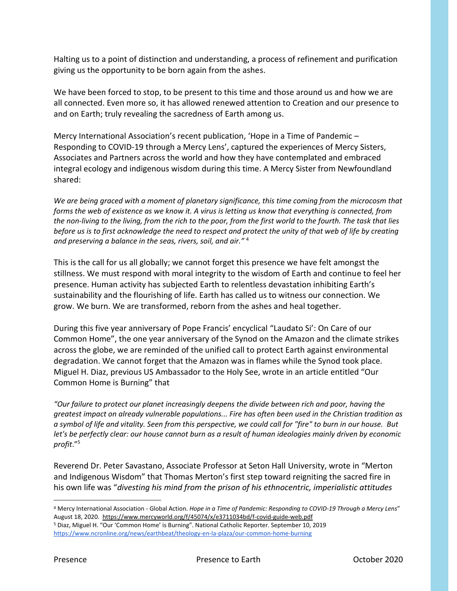Halting us to a point of distinction and understanding, a process of refinement and purification giving us the opportunity to be born again from the ashes.

We have been forced to stop, to be present to this time and those around us and how we are all connected. Even more so, it has allowed renewed attention to Creation and our presence to and on Earth; truly revealing the sacredness of Earth among us.

Mercy International Association's recent publication, 'Hope in a Time of Pandemic – Responding to COVID-19 through a Mercy Lens', captured the experiences of Mercy Sisters, Associates and Partners across the world and how they have contemplated and embraced integral ecology and indigenous wisdom during this time. A Mercy Sister from Newfoundland shared:

*We are being graced with a moment of planetary significance, this time coming from the microcosm that forms the web of existence as we know it. A virus is letting us know that everything is connected, from the non-living to the living, from the rich to the poor, from the first world to the fourth. The task that lies before us is to first acknowledge the need to respect and protect the unity of that web of life by creating and preserving a balance in the seas, rivers, soil, and air."* <sup>4</sup>

This is the call for us all globally; we cannot forget this presence we have felt amongst the stillness. We must respond with moral integrity to the wisdom of Earth and continue to feel her presence. Human activity has subjected Earth to relentless devastation inhibiting Earth's sustainability and the flourishing of life. Earth has called us to witness our connection. We grow. We burn. We are transformed, reborn from the ashes and heal together.

During this five year anniversary of Pope Francis' encyclical "Laudato Si': On Care of our Common Home", the one year anniversary of the Synod on the Amazon and the climate strikes across the globe, we are reminded of the unified call to protect Earth against environmental degradation. We cannot forget that the Amazon was in flames while the Synod took place. Miguel H. Diaz, previous US Ambassador to the Holy See, wrote in an article entitled "Our Common Home is Burning" that

*"Our failure to protect our planet increasingly deepens the divide between rich and poor, having the greatest impact on already vulnerable populations... Fire has often been used in the Christian tradition as a symbol of life and vitality. Seen from this perspective, we could call for "fire" to burn in our house. But let's be perfectly clear: our house cannot burn as a result of human ideologies mainly driven by economic profit*."<sup>5</sup>

Reverend Dr. Peter Savastano, Associate Professor at Seton Hall University, wrote in "Merton and Indigenous Wisdom" that Thomas Merton's first step toward reigniting the sacred fire in his own life was "*divesting his mind from the prison of his ethnocentric, imperialistic attitudes* 

<sup>4</sup> Mercy International Association - Global Action. *Hope in a Time of Pandemic: Responding to COVID-19 Through a Mercy Lens*" August 18, 2020.<https://www.mercyworld.org/f/45074/x/e3711034bd/f-covid-guide-web.pdf>

<sup>5</sup> Diaz, Miguel H. "Our 'Common Home' is Burning". National Catholic Reporter. September 10, 2019 <https://www.ncronline.org/news/earthbeat/theology-en-la-plaza/our-common-home-burning>